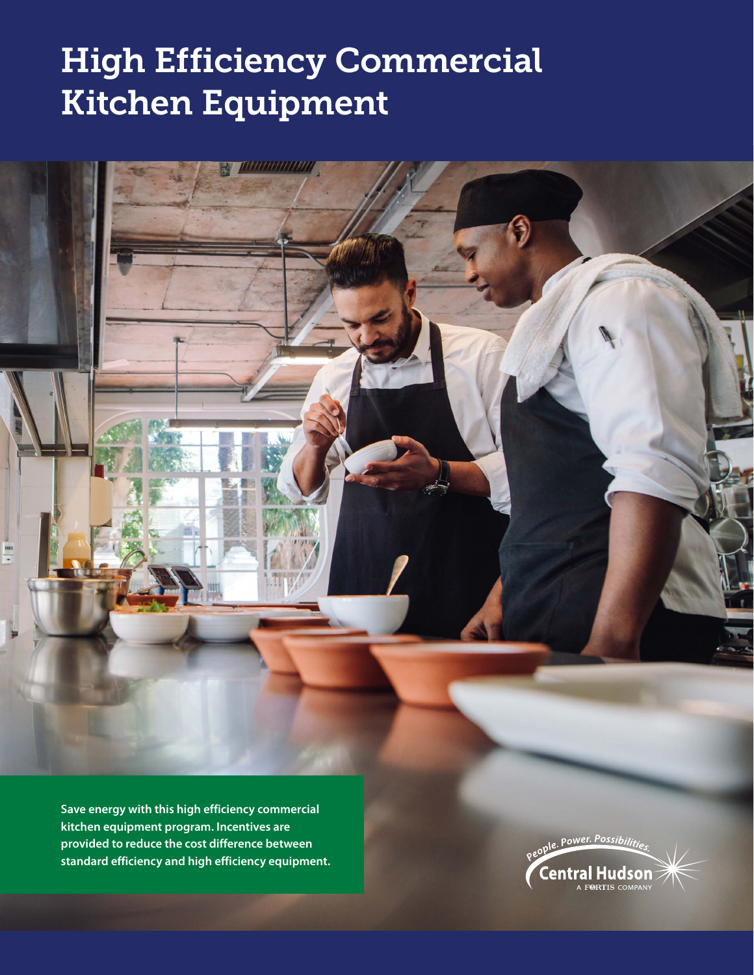# High Efficiency Commercial Kitchen Equipment

111111111111111

**Save energy with this high efficiency commercial kitchen equipment program. Incentives are provided to reduce the cost difference between standard efficiency and high efficiency equipment.**

88

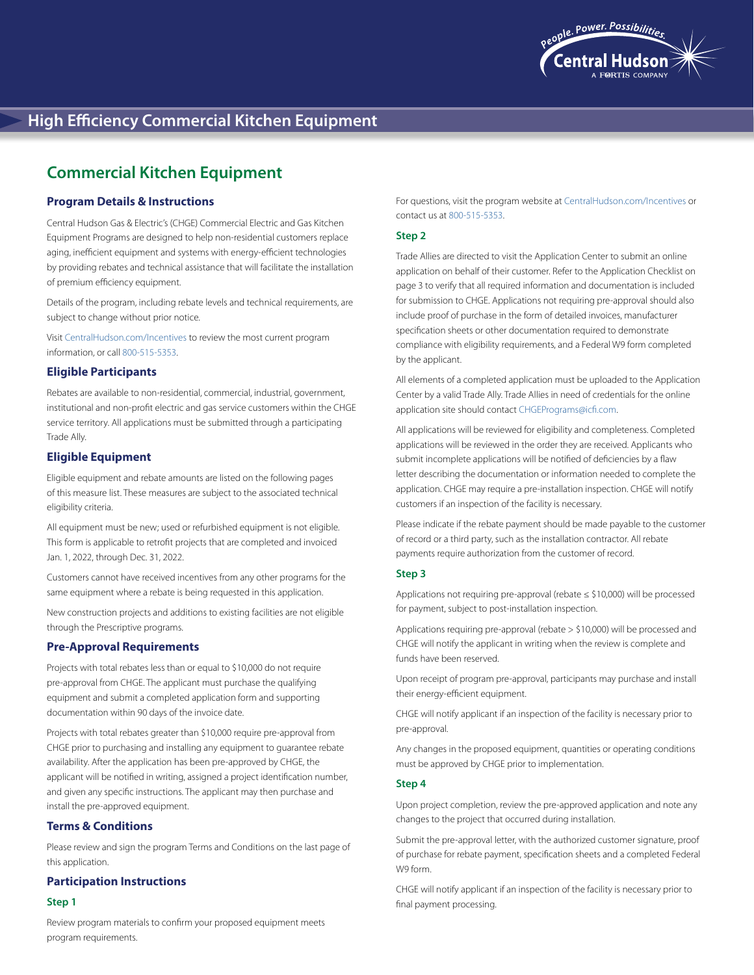

# **Commercial Kitchen Equipment**

# **Program Details & Instructions**

Central Hudson Gas & Electric's (CHGE) Commercial Electric and Gas Kitchen Equipment Programs are designed to help non-residential customers replace aging, inefficient equipment and systems with energy-efficient technologies by providing rebates and technical assistance that will facilitate the installation of premium efficiency equipment.

Details of the program, including rebate levels and technical requirements, are subject to change without prior notice.

Visit [CentralHudson.com/Incentives](http://CentralHudson.com/Incentives) to review the most current program information, or call 800-515-5353.

#### **Eligible Participants**

Rebates are available to non-residential, commercial, industrial, government, institutional and non-profit electric and gas service customers within the CHGE service territory. All applications must be submitted through a participating Trade Ally.

# **Eligible Equipment**

Eligible equipment and rebate amounts are listed on the following pages of this measure list. These measures are subject to the associated technical eligibility criteria.

All equipment must be new; used or refurbished equipment is not eligible. This form is applicable to retrofit projects that are completed and invoiced Jan. 1, 2022, through Dec. 31, 2022.

Customers cannot have received incentives from any other programs for the same equipment where a rebate is being requested in this application.

New construction projects and additions to existing facilities are not eligible through the Prescriptive programs.

## **Pre-Approval Requirements**

Projects with total rebates less than or equal to \$10,000 do not require pre-approval from CHGE. The applicant must purchase the qualifying equipment and submit a completed application form and supporting documentation within 90 days of the invoice date.

Projects with total rebates greater than \$10,000 require pre-approval from CHGE prior to purchasing and installing any equipment to guarantee rebate availability. After the application has been pre-approved by CHGE, the applicant will be notified in writing, assigned a project identification number, and given any specific instructions. The applicant may then purchase and install the pre-approved equipment.

# **Terms & Conditions**

Please review and sign the program Terms and Conditions on the last page of this application.

#### **Participation Instructions**

#### **Step 1**

Review program materials to confirm your proposed equipment meets program requirements.

For questions, visit the program website at [CentralHudson.com/Incentives](http://CentralHudson.com/Incentives) or contact us at 800-515-5353.

#### **Step 2**

Trade Allies are directed to visit the Application Center to submit an online application on behalf of their customer. Refer to the Application Checklist on page 3 to verify that all required information and documentation is included for submission to CHGE. Applications not requiring pre-approval should also include proof of purchase in the form of detailed invoices, manufacturer specification sheets or other documentation required to demonstrate compliance with eligibility requirements, and a Federal W9 form completed by the applicant.

All elements of a completed application must be uploaded to the Application Center by a valid Trade Ally. Trade Allies in need of credentials for the online application site should contact [CHGEPrograms@icfi.com.](mailto:CHGEPrograms@icfi.com)

All applications will be reviewed for eligibility and completeness. Completed applications will be reviewed in the order they are received. Applicants who submit incomplete applications will be notified of deficiencies by a flaw letter describing the documentation or information needed to complete the application. CHGE may require a pre-installation inspection. CHGE will notify customers if an inspection of the facility is necessary.

Please indicate if the rebate payment should be made payable to the customer of record or a third party, such as the installation contractor. All rebate payments require authorization from the customer of record.

#### **Step 3**

Applications not requiring pre-approval (rebate ≤ \$10,000) will be processed for payment, subject to post-installation inspection.

Applications requiring pre-approval (rebate > \$10,000) will be processed and CHGE will notify the applicant in writing when the review is complete and funds have been reserved.

Upon receipt of program pre-approval, participants may purchase and install their energy-efficient equipment.

CHGE will notify applicant if an inspection of the facility is necessary prior to pre-approval.

Any changes in the proposed equipment, quantities or operating conditions must be approved by CHGE prior to implementation.

#### **Step 4**

Upon project completion, review the pre-approved application and note any changes to the project that occurred during installation.

Submit the pre-approval letter, with the authorized customer signature, proof of purchase for rebate payment, specification sheets and a completed Federal W9 form.

CHGE will notify applicant if an inspection of the facility is necessary prior to final payment processing.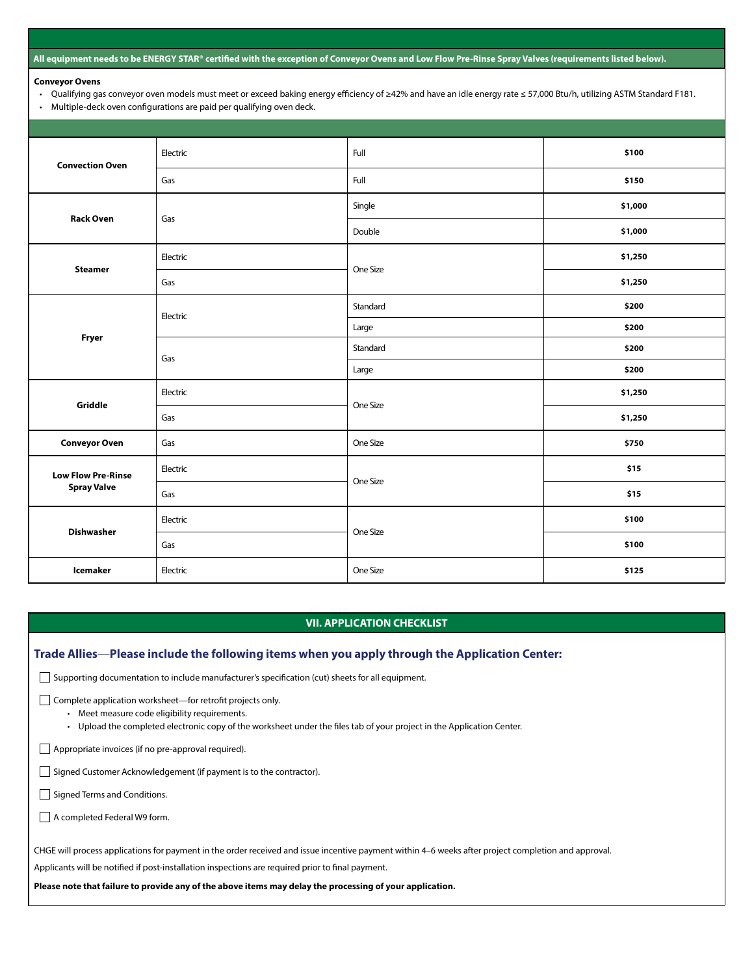#### **All equipment needs to be ENERGY STAR® certified with the exception of Conveyor Ovens and Low Flow Pre-Rinse Spray Valves (requirements listed below).**

#### **Conveyor Ovens**

- Qualifying gas conveyor oven models must meet or exceed baking energy efficiency of ≥42% and have an idle energy rate ≤ 57,000 Btu/h, utilizing ASTM Standard F181.
- Multiple-deck oven configurations are paid per qualifying oven deck.

| <b>Convection Oven</b>                          | Electric | Full     | \$100   |
|-------------------------------------------------|----------|----------|---------|
|                                                 | Gas      | Full     | \$150   |
| <b>Rack Oven</b>                                | Gas      | Single   | \$1,000 |
|                                                 |          | Double   | \$1,000 |
| <b>Steamer</b>                                  | Electric | One Size | \$1,250 |
|                                                 | Gas      |          | \$1,250 |
| Fryer                                           | Electric | Standard | \$200   |
|                                                 |          | Large    | \$200   |
|                                                 | Gas      | Standard | \$200   |
|                                                 |          | Large    | \$200   |
| Griddle                                         | Electric | One Size | \$1,250 |
|                                                 | Gas      |          | \$1,250 |
| <b>Conveyor Oven</b>                            | Gas      | One Size | \$750   |
| <b>Low Flow Pre-Rinse</b><br><b>Spray Valve</b> | Electric | One Size | \$15    |
|                                                 | Gas      |          | \$15    |
| <b>Dishwasher</b>                               | Electric | One Size | \$100   |
|                                                 | Gas      |          | \$100   |
| <b>Icemaker</b>                                 | Electric | One Size | \$125   |

### **VII. APPLICATION CHECKLIST**

#### **Trade Allies**—**Please include the following items when you apply through the Application Center:**

Supporting documentation to include manufacturer's specification (cut) sheets for all equipment.

Complete application worksheet—for retrofit projects only.

- Meet measure code eligibility requirements.
- Upload the completed electronic copy of the worksheet under the files tab of your project in the Application Center.
- Appropriate invoices (if no pre-approval required).

Signed Customer Acknowledgement (if payment is to the contractor).

Signed Terms and Conditions.

A completed Federal W9 form.

CHGE will process applications for payment in the order received and issue incentive payment within 4–6 weeks after project completion and approval.

Applicants will be notified if post-installation inspections are required prior to final payment.

**Please note that failure to provide any of the above items may delay the processing of your application.**